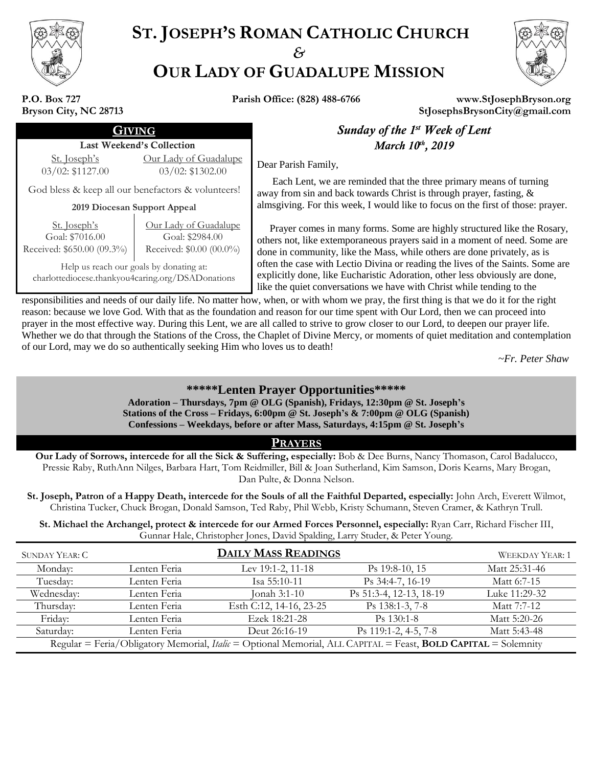

# **ST. JOSEPH'S ROMAN CATHOLIC CHURCH** *&* **OUR LADY OF GUADALUPE MISSION**



**P.O. Box 727 Bryson City, NC 28713**

**Parish Office: (828) 488-6766 www.StJosephBryson.org StJosephsBrysonCity@gmail.com**

#### Last Weekend's Collection

St. Joseph's 03/02: \$1127.00 Our Lady of Guadalupe  $\frac{12a\text{dy of } \text{O}a\text{d}a\text{d}a\text{d}b}{03/02.$   $$1302.00$  Dear Parish Family,

God bless & keep all our benefactors & volunteers!

**2019 Diocesan Support Appeal**

| <u>St. Joseph's</u>        |
|----------------------------|
| Goal: \$7016.00            |
| Received: \$650.00 (09.3%) |

Our Lady of Guadalupe Goal: \$2984.00 Received: \$0.00 (00.0%)

Help us reach our goals by donating at: charlottediocese.thankyou4caring.org/DSADonations

## **GIVING Sunday of the 1<sup>st</sup> Week of Lent** *March* 10<sup>th</sup>, 2019

 Each Lent, we are reminded that the three primary means of turning away from sin and back towards Christ is through prayer, fasting, & almsgiving. For this week, I would like to focus on the first of those: prayer.

 Prayer comes in many forms. Some are highly structured like the Rosary, others not, like extemporaneous prayers said in a moment of need. Some are done in community, like the Mass, while others are done privately, as is often the case with Lectio Divina or reading the lives of the Saints. Some are explicitly done, like Eucharistic Adoration, other less obviously are done, like the quiet conversations we have with Christ while tending to the

responsibilities and needs of our daily life. No matter how, when, or with whom we pray, the first thing is that we do it for the right reason: because we love God. With that as the foundation and reason for our time spent with Our Lord, then we can proceed into prayer in the most effective way. During this Lent, we are all called to strive to grow closer to our Lord, to deepen our prayer life. Whether we do that through the Stations of the Cross, the Chaplet of Divine Mercy, or moments of quiet meditation and contemplation of our Lord, may we do so authentically seeking Him who loves us to death!

 *~Fr. Peter Shaw*

## **\*\*\*\*\*Lenten Prayer Opportunities\*\*\*\*\***

**Adoration – Thursdays, 7pm @ OLG (Spanish), Fridays, 12:30pm @ St. Joseph's Stations of the Cross – Fridays, 6:00pm @ St. Joseph's & 7:00pm @ OLG (Spanish) Confessions – Weekdays, before or after Mass, Saturdays, 4:15pm @ St. Joseph's**

### **PRAYERS**

**Our Lady of Sorrows, intercede for all the Sick & Suffering, especially:** Bob & Dee Burns, Nancy Thomason, Carol Badalucco, Pressie Raby, RuthAnn Nilges, Barbara Hart, Tom Reidmiller, Bill & Joan Sutherland, Kim Samson, Doris Kearns, Mary Brogan, Dan Pulte, & Donna Nelson.

**St. Joseph, Patron of a Happy Death, intercede for the Souls of all the Faithful Departed, especially:** John Arch, Everett Wilmot, Christina Tucker, Chuck Brogan, Donald Samson, Ted Raby, Phil Webb, Kristy Schumann, Steven Cramer, & Kathryn Trull.

**St. Michael the Archangel, protect & intercede for our Armed Forces Personnel, especially:** Ryan Carr, Richard Fischer III, Gunnar Hale, Christopher Jones, David Spalding, Larry Studer, & Peter Young.

| SUNDAY YEAR: C                                                                                                 |              | <b>DAILY MASS READINGS</b> |                         | <b>WEEKDAY YEAR: 1</b> |
|----------------------------------------------------------------------------------------------------------------|--------------|----------------------------|-------------------------|------------------------|
| Monday:                                                                                                        | Lenten Feria | Lev 19:1-2, 11-18          | $Ps$ 19:8-10, 15        | Matt 25:31-46          |
| Tuesday:                                                                                                       | Lenten Feria | Isa 55:10-11               | Ps 34:4-7, 16-19        | Matt 6:7-15            |
| Wednesday:                                                                                                     | Lenten Feria | Jonah 3:1-10               | Ps 51:3-4, 12-13, 18-19 | Luke 11:29-32          |
| Thursday:                                                                                                      | Lenten Feria | Esth C:12, 14-16, 23-25    | Ps 138:1-3, 7-8         | Matt 7:7-12            |
| Friday:                                                                                                        | Lenten Feria | Ezek 18:21-28              | $Ps$ 130:1-8            | Matt 5:20-26           |
| Saturday:                                                                                                      | Lenten Feria | Deut 26:16-19              | Ps 119:1-2, 4-5, 7-8    | Matt 5:43-48           |
| Regular = Feria/Obligatory Memorial, Italic = Optional Memorial, ALL CAPITAL = Feast, BOLD CAPITAL = Solemnity |              |                            |                         |                        |